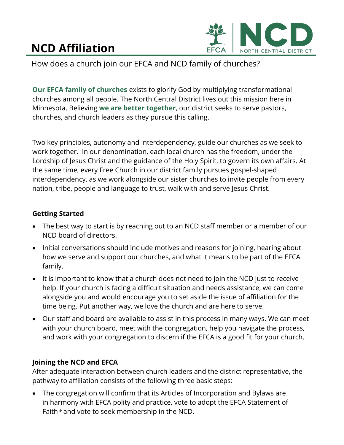## **NCD Affiliation**



How does a church join our EFCA and NCD family of churches?

**Our EFCA family of churches** exists to glorify God by multiplying transformational churches among all people. The North Central District lives out this mission here in Minnesota. Believing **we are better together**, our district seeks to serve pastors, churches, and church leaders as they pursue this calling.

Two key principles, autonomy and interdependency, guide our churches as we seek to work together. In our denomination, each local church has the freedom, under the Lordship of Jesus Christ and the guidance of the Holy Spirit, to govern its own affairs. At the same time, every Free Church in our district family pursues gospel-shaped interdependency, as we work alongside our sister churches to invite people from every nation, tribe, people and language to trust, walk with and serve Jesus Christ.

## **Getting Started**

- The best way to start is by reaching out to an NCD staff member or a member of our NCD board of directors.
- Initial conversations should include motives and reasons for joining, hearing about how we serve and support our churches, and what it means to be part of the EFCA family.
- It is important to know that a church does not need to join the NCD just to receive help. If your church is facing a difficult situation and needs assistance, we can come alongside you and would encourage you to set aside the issue of affiliation for the time being. Put another way, we love the church and are here to serve.
- Our staff and board are available to assist in this process in many ways. We can meet with your church board, meet with the congregation, help you navigate the process, and work with your congregation to discern if the EFCA is a good fit for your church.

## **Joining the NCD and EFCA**

After adequate interaction between church leaders and the district representative, the pathway to affiliation consists of the following three basic steps:

• The congregation will confirm that its Articles of Incorporation and Bylaws are in harmony with EFCA polity and practice, vote to adopt the EFCA Statement of Faith*\** and vote to seek membership in the NCD.